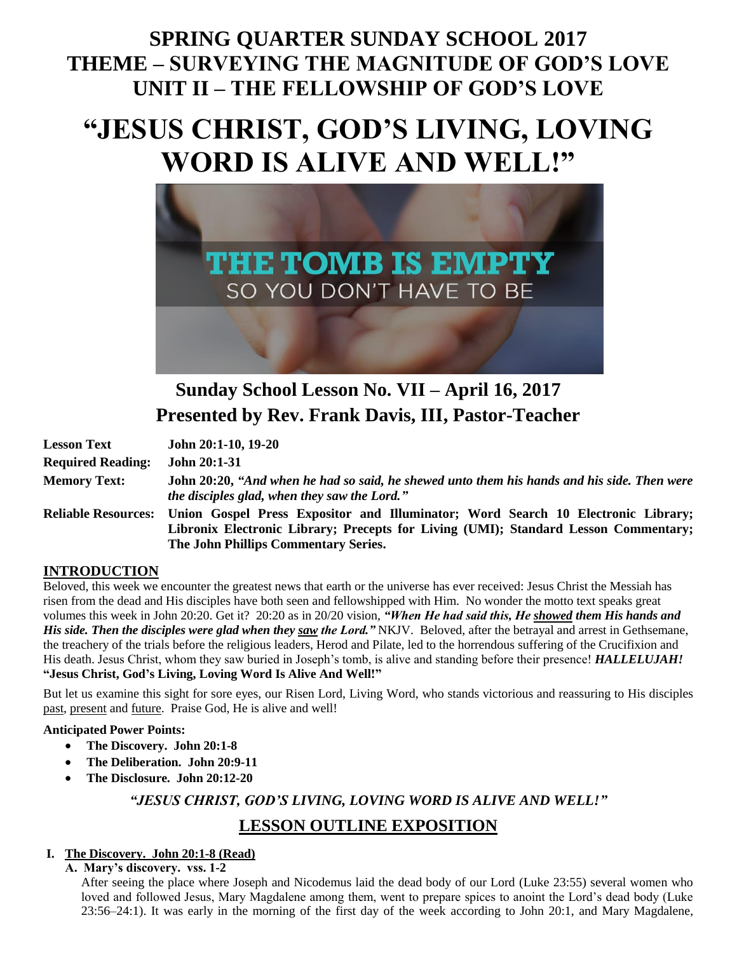## **SPRING QUARTER SUNDAY SCHOOL 2017 THEME – SURVEYING THE MAGNITUDE OF GOD'S LOVE UNIT II – THE FELLOWSHIP OF GOD'S LOVE**

# **"JESUS CHRIST, GOD'S LIVING, LOVING WORD IS ALIVE AND WELL!"**



## **Sunday School Lesson No. VII – April 16, 2017 Presented by Rev. Frank Davis, III, Pastor-Teacher**

| <b>Lesson Text</b>         | John 20:1-10, 19-20                                                                                                                                                                                             |
|----------------------------|-----------------------------------------------------------------------------------------------------------------------------------------------------------------------------------------------------------------|
| <b>Required Reading:</b>   | <b>John 20:1-31</b>                                                                                                                                                                                             |
| <b>Memory Text:</b>        | John 20:20, "And when he had so said, he shewed unto them his hands and his side. Then were<br>the disciples glad, when they saw the Lord."                                                                     |
| <b>Reliable Resources:</b> | Union Gospel Press Expositor and Illuminator; Word Search 10 Electronic Library;<br>Libronix Electronic Library; Precepts for Living (UMI); Standard Lesson Commentary;<br>The John Phillips Commentary Series. |

#### **INTRODUCTION**

Beloved, this week we encounter the greatest news that earth or the universe has ever received: Jesus Christ the Messiah has risen from the dead and His disciples have both seen and fellowshipped with Him. No wonder the motto text speaks great volumes this week in John 20:20. Get it? 20:20 as in 20/20 vision, *"When He had said this, He showed them His hands and His side. Then the disciples were glad when they saw the Lord."* NKJV. Beloved, after the betrayal and arrest in Gethsemane, the treachery of the trials before the religious leaders, Herod and Pilate, led to the horrendous suffering of the Crucifixion and His death. Jesus Christ, whom they saw buried in Joseph's tomb, is alive and standing before their presence! *HALLELUJAH!* **"Jesus Christ, God's Living, Loving Word Is Alive And Well!"**

But let us examine this sight for sore eyes, our Risen Lord, Living Word, who stands victorious and reassuring to His disciples past, present and future. Praise God, He is alive and well!

#### **Anticipated Power Points:**

- **The Discovery. John 20:1-8**
- **The Deliberation. John 20:9-11**
- **The Disclosure. John 20:12-20**

*"JESUS CHRIST, GOD'S LIVING, LOVING WORD IS ALIVE AND WELL!"*

### **LESSON OUTLINE EXPOSITION**

#### **I. The Discovery. John 20:1-8 (Read)**

**A. Mary's discovery. vss. 1-2**

After seeing the place where Joseph and Nicodemus laid the dead body of our Lord (Luke 23:55) several women who loved and followed Jesus, Mary Magdalene among them, went to prepare spices to anoint the Lord's dead body (Luke 23:56–24:1). It was early in the morning of the first day of the week according to John 20:1, and Mary Magdalene,